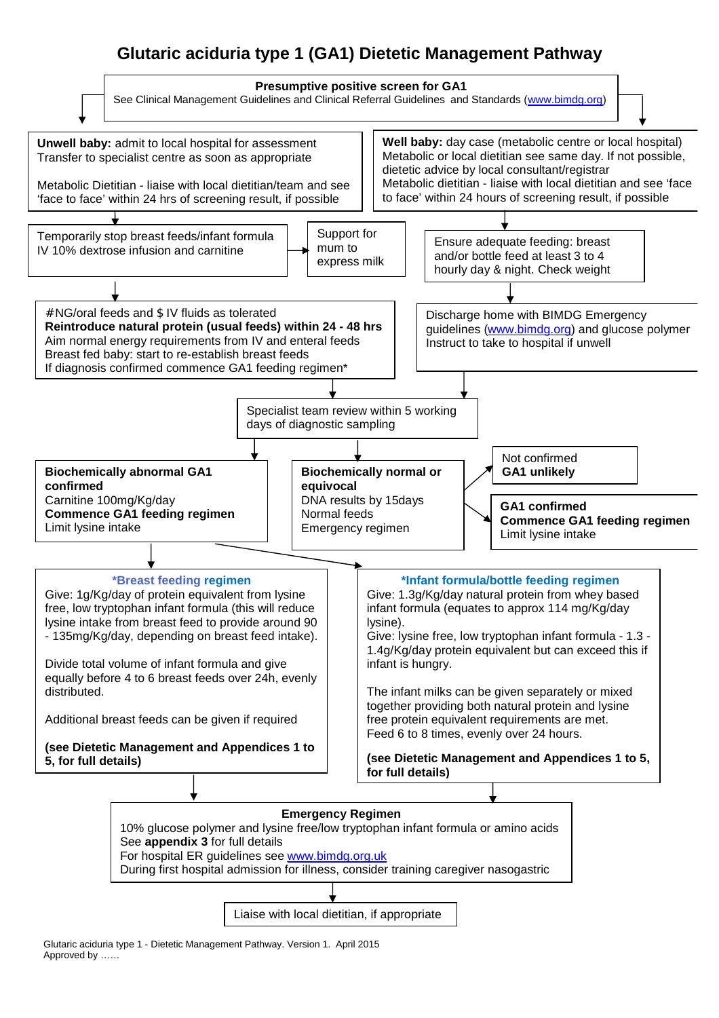# **Glutaric aciduria type 1 (GA1) Dietetic Management Pathway**



Glutaric aciduria type 1 - Dietetic Management Pathway. Version 1. April 2015 Approved by ……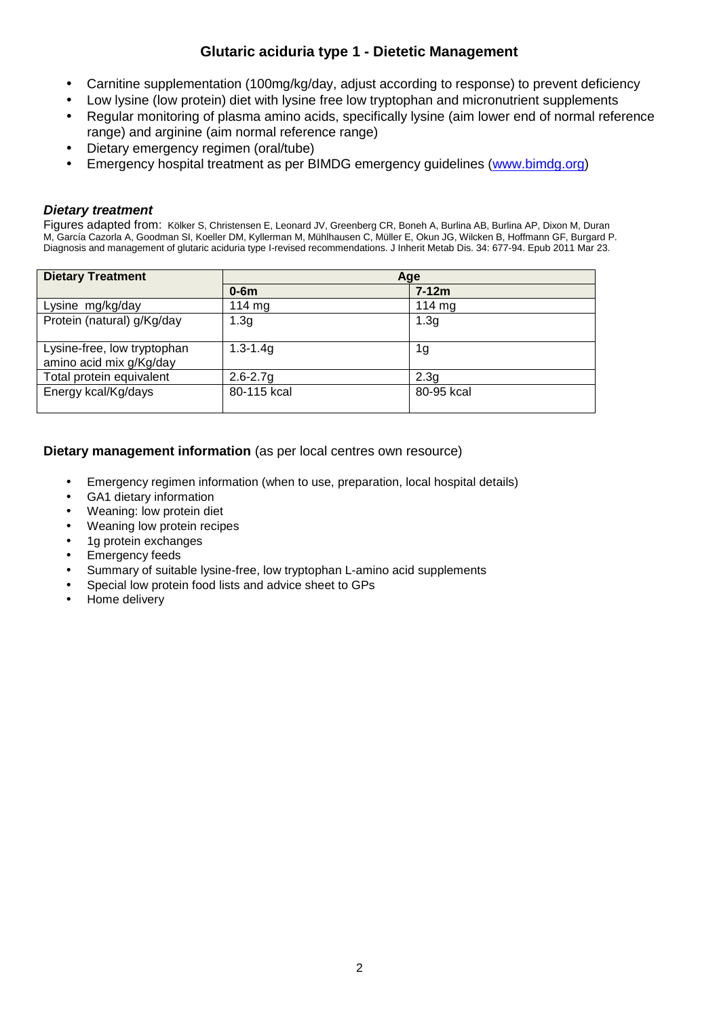## **Glutaric aciduria type 1 - Dietetic Management**

- Carnitine supplementation (100mg/kg/day, adjust according to response) to prevent deficiency
- Low lysine (low protein) diet with lysine free low tryptophan and micronutrient supplements
- Regular monitoring of plasma amino acids, specifically lysine (aim lower end of normal reference range) and arginine (aim normal reference range)
- Dietary emergency regimen (oral/tube)
- Emergency hospital treatment as per BIMDG emergency guidelines ([www.bimdg.org\)](http://www.bimdg.org)

## *Dietary treatment*

Figures adapted from: Kölker S, Christensen E, Leonard JV, Greenberg CR, Boneh A, Burlina AB, Burlina AP, Dixon M, Duran M, García Cazorla A, Goodman SI, Koeller DM, Kyllerman M, Mühlhausen C, Müller E, Okun JG, Wilcken B, Hoffmann GF, Burgard P. Diagnosis and management of glutaric aciduria type I-revised recommendations. J Inherit Metab Dis. 34: 677-94. Epub 2011 Mar 23.

| <b>Dietary Treatment</b>                               | Age              |                  |  |  |  |
|--------------------------------------------------------|------------------|------------------|--|--|--|
|                                                        | $0-6m$           | $7 - 12m$        |  |  |  |
| Lysine mg/kg/day                                       | $114 \text{ mg}$ | 114 $mg$         |  |  |  |
| Protein (natural) g/Kg/day                             | 1.3 <sub>g</sub> | 1.3 <sub>g</sub> |  |  |  |
| Lysine-free, low tryptophan<br>amino acid mix g/Kg/day | $1.3 - 1.4g$     | 1g               |  |  |  |
| Total protein equivalent                               | $2.6 - 2.7g$     | 2.3q             |  |  |  |
| Energy kcal/Kg/days                                    | 80-115 kcal      | 80-95 kcal       |  |  |  |

## **Dietary management information** (as per local centres own resource)

- Emergency regimen information (when to use, preparation, local hospital details)
- GA1 dietary information
- Weaning: low protein diet
- Weaning low protein recipes
- 1g protein exchanges
- **Emergency feeds**
- Summary of suitable lysine-free, low tryptophan L-amino acid supplements
- Special low protein food lists and advice sheet to GPs
- Home delivery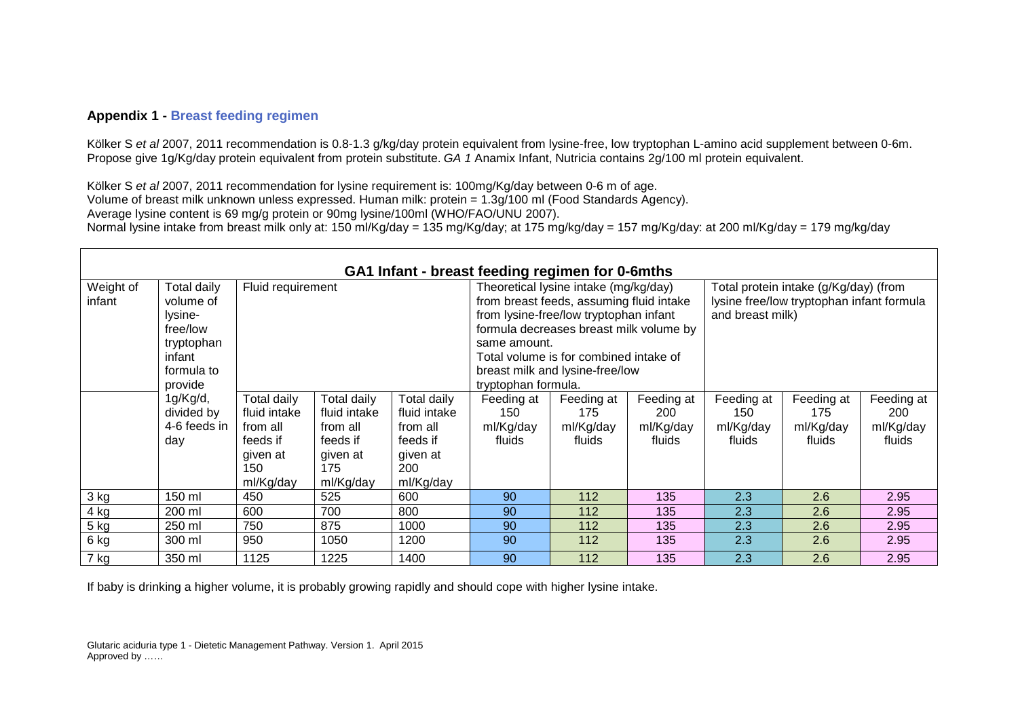#### **Appendix 1 - Breast feeding regimen**

Kölker S *et al* 2007, 2011 recommendation is 0.8-1.3 g/kg/day protein equivalent from lysine-free, low tryptophan L-amino acid supplement between 0-6m. Propose give 1g/Kg/day protein equivalent from protein substitute. *GA 1* Anamix Infant, Nutricia contains 2g/100 ml protein equivalent.

Kölker S *et al* 2007, 2011 recommendation for lysine requirement is: 100mg/Kg/day between 0-6 m of age. Volume of breast milk unknown unless expressed. Human milk: protein = 1.3g/100 ml (Food Standards Agency). Average lysine content is 69 mg/g protein or 90mg lysine/100ml (WHO/FAO/UNU 2007). Normal lysine intake from breast milk only at: 150 ml/Kg/day = 135 mg/Kg/day; at 175 mg/kg/day = 157 mg/Kg/day: at 200 ml/Kg/day = 179 mg/kg/day

| GA1 Infant - breast feeding regimen for 0-6mths |                    |                                                         |              |              |                                          |                                 |            |                                           |            |            |
|-------------------------------------------------|--------------------|---------------------------------------------------------|--------------|--------------|------------------------------------------|---------------------------------|------------|-------------------------------------------|------------|------------|
| Weight of                                       | <b>Total daily</b> | Fluid requirement                                       |              |              | Theoretical lysine intake (mg/kg/day)    |                                 |            | Total protein intake (g/Kg/day) (from     |            |            |
| infant                                          | volume of          |                                                         |              |              | from breast feeds, assuming fluid intake |                                 |            | lysine free/low tryptophan infant formula |            |            |
|                                                 | lysine-            |                                                         |              |              | from lysine-free/low tryptophan infant   |                                 |            | and breast milk)                          |            |            |
|                                                 | free/low           |                                                         |              |              | formula decreases breast milk volume by  |                                 |            |                                           |            |            |
|                                                 | tryptophan         |                                                         |              |              | same amount.                             |                                 |            |                                           |            |            |
|                                                 | infant             |                                                         |              |              | Total volume is for combined intake of   |                                 |            |                                           |            |            |
|                                                 | formula to         |                                                         |              |              |                                          | breast milk and lysine-free/low |            |                                           |            |            |
|                                                 | provide            |                                                         |              |              | tryptophan formula.                      |                                 |            |                                           |            |            |
|                                                 | 1g/Kg/d,           | Total daily<br>Total daily<br>Total daily<br>Feeding at |              |              |                                          | Feeding at                      | Feeding at | Feeding at                                | Feeding at | Feeding at |
|                                                 | divided by         | fluid intake                                            | fluid intake | fluid intake | 150                                      | 175                             | 200        | 150                                       | 175        | 200        |
|                                                 | 4-6 feeds in       | from all                                                | from all     | from all     | ml/Kg/day                                | ml/Kg/day                       | ml/Kg/day  | ml/Kg/day                                 | ml/Kg/day  | ml/Kg/day  |
|                                                 | day                | feeds if                                                | feeds if     | feeds if     | fluids                                   | fluids                          | fluids     | fluids                                    | fluids     | fluids     |
|                                                 |                    | given at                                                | given at     | given at     |                                          |                                 |            |                                           |            |            |
|                                                 |                    | 150                                                     | 175          | 200          |                                          |                                 |            |                                           |            |            |
|                                                 |                    | ml/Kg/day                                               | ml/Kg/day    | ml/Kg/day    |                                          |                                 |            |                                           |            |            |
| 3 kg                                            | 150 ml             | 450                                                     | 525          | 600          | 90                                       | 112                             | 135        | 2.3                                       | 2.6        | 2.95       |
| 4 kg                                            | 200 ml             | 600                                                     | 700          | 800          | 90                                       | 112                             | 135        | 2.3                                       | 2.6        | 2.95       |
| $5$ kg                                          | 250 ml             | 750                                                     | 875          | 1000         | 90                                       | 112                             | 135        | 2.3                                       | 2.6        | 2.95       |
| 6 kg                                            | 300 ml             | 950                                                     | 1050         | 1200         | 90                                       | 112                             | 135        | 2.3                                       | 2.6        | 2.95       |
| 7 kg                                            | 350 ml             | 1125                                                    | 1225         | 1400         | 90                                       | 112                             | 135        | 2.3                                       | 2.6        | 2.95       |

If baby is drinking a higher volume, it is probably growing rapidly and should cope with higher lysine intake.

Glutaric aciduria type 1 - Dietetic Management Pathway. Version 1. April 2015 Approved by ……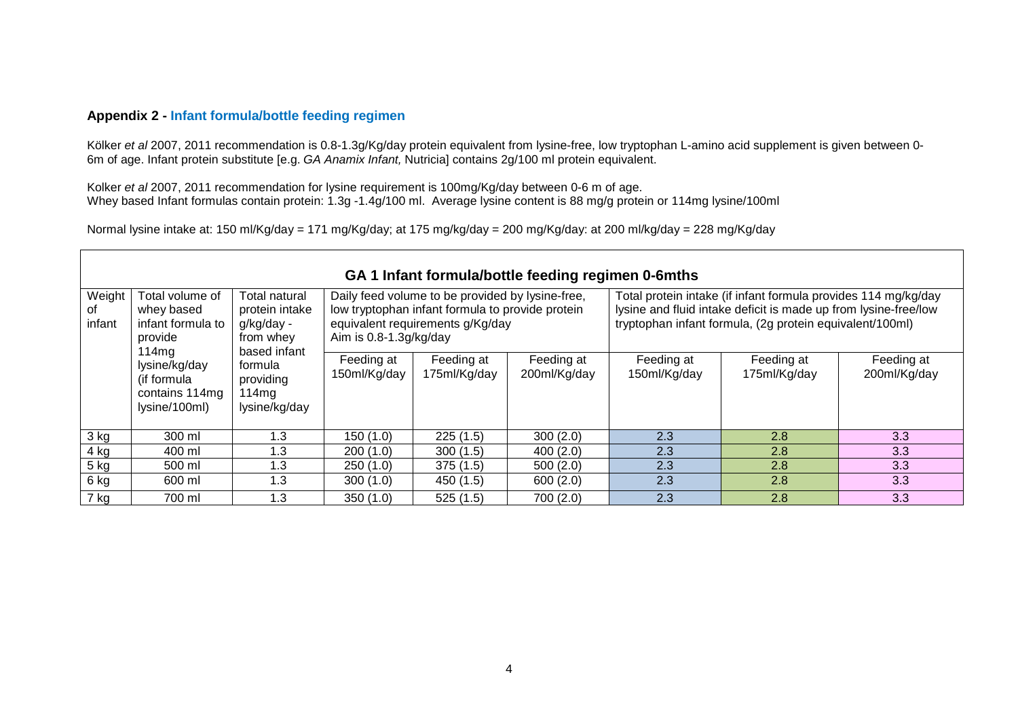## **Appendix 2 - Infant formula/bottle feeding regimen**

Kölker et al 2007, 2011 recommendation is 0.8-1.3g/Kg/day protein equivalent from lysine-free, low tryptophan L-amino acid supplement is given between 0-6m of age. Infant protein substitute [e.g. *GA Anamix Infant,* Nutricia] contains 2g/100 ml protein equivalent.

Kolker *et al* 2007, 2011 recommendation for lysine requirement is 100mg/Kg/day between 0-6 m of age. Whey based Infant formulas contain protein: 1.3g -1.4g/100 ml. Average lysine content is 88 mg/g protein or 114mg lysine/100ml

Normal lysine intake at: 150 ml/Kg/day = 171 mg/Kg/day; at 175 mg/kg/day = 200 mg/Kg/day: at 200 ml/kg/day = 228 mg/Kg/day

|                        | GA 1 Infant formula/bottle feeding regimen 0-6mths                     |                                                                                                                                                                                                                                                       |                            |                            |                                                                                                                                                                                               |                            |                            |                            |  |  |
|------------------------|------------------------------------------------------------------------|-------------------------------------------------------------------------------------------------------------------------------------------------------------------------------------------------------------------------------------------------------|----------------------------|----------------------------|-----------------------------------------------------------------------------------------------------------------------------------------------------------------------------------------------|----------------------------|----------------------------|----------------------------|--|--|
| Weight<br>οf<br>infant | Total volume of<br>whey based<br>infant formula to<br>provide<br>114mg | Daily feed volume to be provided by lysine-free,<br>Total natural<br>low tryptophan infant formula to provide protein<br>protein intake<br>equivalent requirements g/Kg/day<br>g/kg/day -<br>Aim is $0.8 - 1.3$ g/kg/day<br>from whey<br>based infant |                            |                            | Total protein intake (if infant formula provides 114 mg/kg/day<br>lysine and fluid intake deficit is made up from lysine-free/low<br>tryptophan infant formula, (2g protein equivalent/100ml) |                            |                            |                            |  |  |
|                        | lysine/kg/day<br>(if formula<br>contains 114mg<br>lysine/100ml)        | formula<br>providing<br>114mg<br>lysine/kg/day                                                                                                                                                                                                        | Feeding at<br>150ml/Kg/day | Feeding at<br>175ml/Kg/day | Feeding at<br>200ml/Kg/day                                                                                                                                                                    | Feeding at<br>150ml/Kg/day | Feeding at<br>175ml/Kg/day | Feeding at<br>200ml/Kg/day |  |  |
| 3 kg                   | 300 ml                                                                 | 1.3                                                                                                                                                                                                                                                   | 150(1.0)                   | 225(1.5)                   | 300(2.0)                                                                                                                                                                                      | 2.3                        | 2.8                        | 3.3                        |  |  |
| 4 kg                   | 400 ml                                                                 | 1.3                                                                                                                                                                                                                                                   | 200(1.0)                   | 300(1.5)                   | 400(2.0)                                                                                                                                                                                      | 2.3                        | 2.8                        | 3.3                        |  |  |
| $5$ kg                 | 500 ml                                                                 | 1.3                                                                                                                                                                                                                                                   | 250(1.0)                   | 375(1.5)                   | 500(2.0)                                                                                                                                                                                      | 2.3                        | 2.8                        | 3.3                        |  |  |
| 6 kg                   | 600 ml                                                                 | 1.3                                                                                                                                                                                                                                                   | 300(1.0)                   | 450(1.5)                   | 600(2.0)                                                                                                                                                                                      | 2.3                        | 2.8                        | 3.3                        |  |  |
| . 7 kg                 | 700 ml                                                                 | 1.3                                                                                                                                                                                                                                                   | 350(1.0)                   | 525(1.5)                   | 700(2.0)                                                                                                                                                                                      | 2.3                        | 2.8                        | 3.3                        |  |  |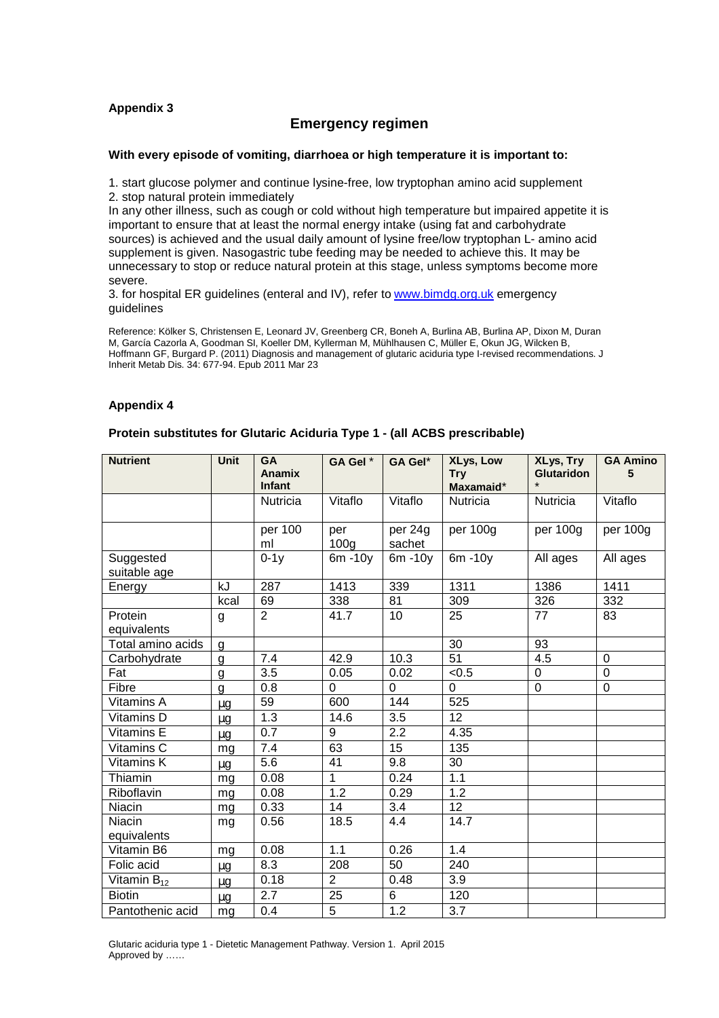#### **Appendix 3**

#### **Emergency regimen**

#### **With every episode of vomiting, diarrhoea or high temperature it is important to:**

1. start glucose polymer and continue lysine-free, low tryptophan amino acid supplement 2. stop natural protein immediately

In any other illness, such as cough or cold without high temperature but impaired appetite it is important to ensure that at least the normal energy intake (using fat and carbohydrate sources) is achieved and the usual daily amount of lysine free/low tryptophan L- amino acid supplement is given. Nasogastric tube feeding may be needed to achieve this. It may be unnecessary to stop or reduce natural protein at this stage, unless symptoms become more severe.

3. for hospital ER guidelines (enteral and IV), refer to [www.bimdg.org.uk](http://www.bimdg.org.uk) emergency guidelines

Reference: Kölker S, Christensen E, Leonard JV, Greenberg CR, Boneh A, Burlina AB, Burlina AP, Dixon M, Duran M, García Cazorla A, Goodman SI, Koeller DM, Kyllerman M, Mühlhausen C, Müller E, Okun JG, Wilcken B, Hoffmann GF, Burgard P. (2011) Diagnosis and management of glutaric aciduria type I-revised recommendations. J Inherit Metab Dis. 34: 677-94. Epub 2011 Mar 23

#### **Appendix 4**

#### **Protein substitutes for Glutaric Aciduria Type 1 - (all ACBS prescribable)**

| <b>Nutrient</b>           | <b>Unit</b> | <b>GA</b><br><b>Anamix</b> | GA Gel *                | GA Gel*           | <b>XLys, Low</b><br><b>Try</b> | <b>XLys, Try</b><br><b>Glutaridon</b> | <b>GA Amino</b><br>5 |
|---------------------------|-------------|----------------------------|-------------------------|-------------------|--------------------------------|---------------------------------------|----------------------|
|                           |             | <b>Infant</b>              |                         |                   | Maxamaid*                      |                                       |                      |
|                           |             | Nutricia                   | Vitaflo                 | Vitaflo           | Nutricia                       | Nutricia                              | Vitaflo              |
|                           |             | per 100<br>ml              | per<br>100 <sub>q</sub> | per 24g<br>sachet | per 100g                       | per 100g                              | per 100g             |
| Suggested<br>suitable age |             | $0-1y$                     | $6m - 10y$              | $6m - 10y$        | $6m - 10y$                     | All ages                              | All ages             |
| Energy                    | kJ          | 287                        | 1413                    | 339               | 1311                           | 1386                                  | 1411                 |
|                           | kcal        | 69                         | 338                     | 81                | 309                            | 326                                   | 332                  |
| Protein<br>equivalents    | g           | $\overline{2}$             | 41.7                    | 10                | 25                             | 77                                    | 83                   |
| Total amino acids         | g           |                            |                         |                   | 30                             | 93                                    |                      |
| Carbohydrate              | g           | 7.4                        | 42.9                    | 10.3              | $\overline{51}$                | 4.5                                   | $\mathbf 0$          |
| Fat                       | g           | 3.5                        | 0.05                    | 0.02              | < 0.5                          | 0                                     | $\mathbf 0$          |
| Fibre                     | g           | 0.8                        | $\Omega$                | $\Omega$          | $\overline{0}$                 | $\mathbf 0$                           | $\mathbf 0$          |
| Vitamins A                | μg          | 59                         | 600                     | 144               | 525                            |                                       |                      |
| Vitamins D                | $\mu$ g     | 1.3                        | 14.6                    | 3.5               | 12                             |                                       |                      |
| Vitamins E                | μg          | 0.7                        | 9                       | $\overline{2.2}$  | 4.35                           |                                       |                      |
| Vitamins C                | mg          | 7.4                        | 63                      | 15                | 135                            |                                       |                      |
| Vitamins K                | $\mu$ g     | 5.6                        | 41                      | 9.8               | 30                             |                                       |                      |
| Thiamin                   | mg          | 0.08                       | 1                       | 0.24              | 1.1                            |                                       |                      |
| Riboflavin                | mg          | 0.08                       | 1.2                     | 0.29              | 1.2                            |                                       |                      |
| Niacin                    | mg          | 0.33                       | 14                      | 3.4               | $\overline{12}$                |                                       |                      |
| <b>Niacin</b>             | mg          | 0.56                       | 18.5                    | 4.4               | 14.7                           |                                       |                      |
| equivalents               |             |                            |                         |                   |                                |                                       |                      |
| Vitamin B6                | mg          | 0.08                       | 1.1                     | 0.26              | 1.4                            |                                       |                      |
| Folic acid                | $\mu$ g     | 8.3                        | 208                     | 50                | 240                            |                                       |                      |
| Vitamin $B_{12}$          | $\mu$ g     | 0.18                       | $\overline{2}$          | 0.48              | 3.9                            |                                       |                      |
| <b>Biotin</b>             | $\mu$ g     | 2.7                        | $\overline{25}$         | 6                 | 120                            |                                       |                      |
| Pantothenic acid          | mg          | 0.4                        | 5                       | 1.2               | 3.7                            |                                       |                      |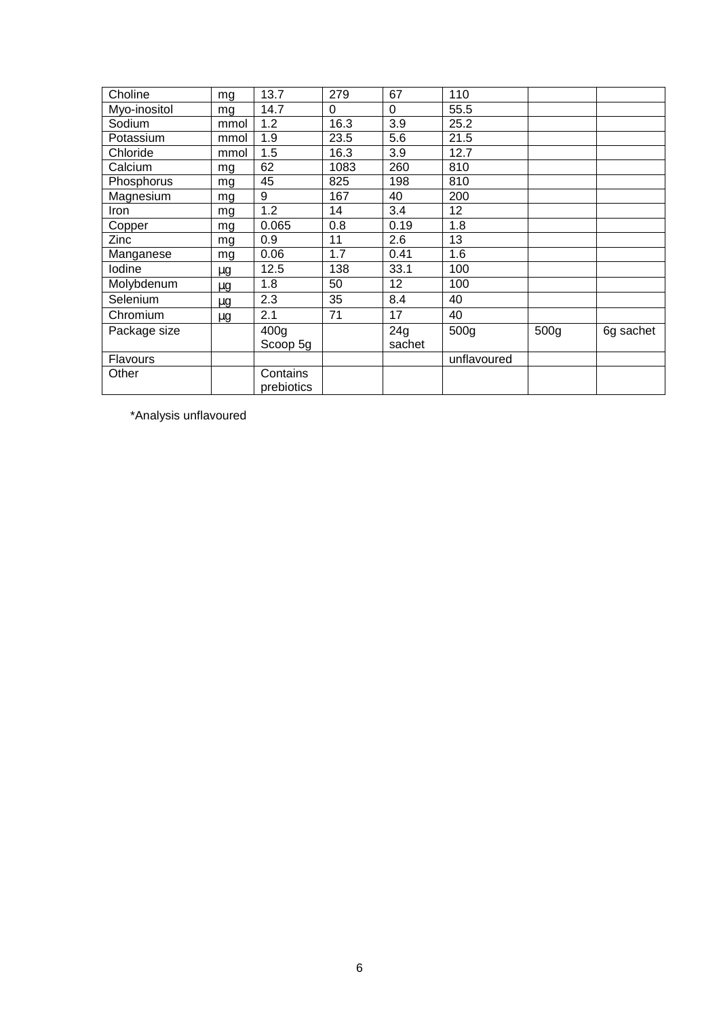| Choline         | mg   | 13.7                   | 279      | 67       | 110              |      |           |
|-----------------|------|------------------------|----------|----------|------------------|------|-----------|
| Myo-inositol    | mg   | 14.7                   | $\Omega$ | $\Omega$ | 55.5             |      |           |
| Sodium          | mmol | 1.2                    | 16.3     | 3.9      | 25.2             |      |           |
| Potassium       | mmol | 1.9                    | 23.5     | 5.6      | 21.5             |      |           |
| Chloride        | mmol | 1.5                    | 16.3     | 3.9      | 12.7             |      |           |
| Calcium         | mg   | 62                     | 1083     | 260      | 810              |      |           |
| Phosphorus      | mg   | 45                     | 825      | 198      | 810              |      |           |
| Magnesium       | mg   | 9                      | 167      | 40       | 200              |      |           |
| Iron            | mg   | 1.2                    | 14       | 3.4      | 12               |      |           |
| Copper          | mg   | 0.065                  | 0.8      | 0.19     | 1.8              |      |           |
| Zinc            | mg   | 0.9                    | 11       | 2.6      | 13               |      |           |
| Manganese       | mg   | 0.06                   | 1.7      | 0.41     | 1.6              |      |           |
| lodine          | μg   | 12.5                   | 138      | 33.1     | 100              |      |           |
| Molybdenum      | μg   | 1.8                    | 50       | 12       | 100              |      |           |
| Selenium        | μg   | 2.3                    | 35       | 8.4      | 40               |      |           |
| Chromium        | μg   | 2.1                    | 71       | 17       | 40               |      |           |
| Package size    |      | 400 <sub>g</sub>       |          | 24g      | 500 <sub>q</sub> | 500g | 6g sachet |
|                 |      | Scoop 5g               |          | sachet   |                  |      |           |
| <b>Flavours</b> |      |                        |          |          | unflavoured      |      |           |
| Other           |      | Contains<br>prebiotics |          |          |                  |      |           |

\*Analysis unflavoured